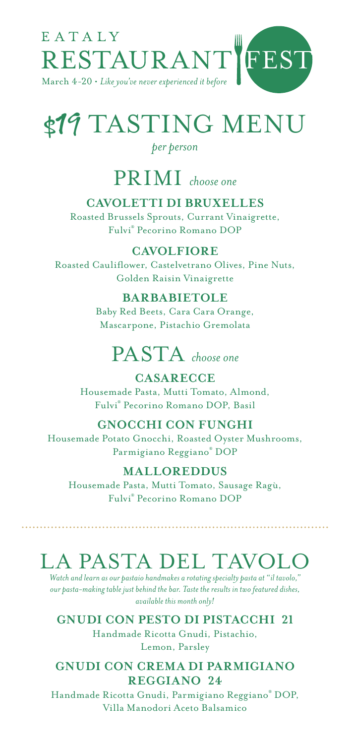

# \$19 TASTING MENU

#### *per person*

### PRIMI *choose one*

#### **CAVOLETTI DI BRUXELLES**

Roasted Brussels Sprouts, Currant Vinaigrette, Fulvi® Pecorino Romano DOP

#### **CAVOLFIORE**

Roasted Cauliflower, Castelvetrano Olives, Pine Nuts, Golden Raisin Vinaigrette

#### **BARBABIETOLE**

Baby Red Beets, Cara Cara Orange, Mascarpone, Pistachio Gremolata

### PASTA *choose one*

**CASARECCE**

Housemade Pasta, Mutti Tomato, Almond, Fulvi® Pecorino Romano DOP, Basil

#### **GNOCCHI CON FUNGHI**

Housemade Potato Gnocchi, Roasted Oyster Mushrooms, Parmigiano Reggiano® DOP

#### **MALLOREDDUS**

Housemade Pasta, Mutti Tomato, Sausage Ragù, Fulvi® Pecorino Romano DOP

### LA PASTA DEL TAVOLO

*Watch and learn as our pastaio handmakes a rotating specialty pasta at "il tavolo," our pasta-making table just behind the bar. Taste the results in two featured dishes, available this month only!*

#### **GNUDI CON PESTO DI PISTACCHI 21**

Handmade Ricotta Gnudi, Pistachio, Lemon, Parsley

#### **GNUDI CON CREMA DI PARMIGIANO REGGIANO 24**

Handmade Ricotta Gnudi, Parmigiano Reggiano® DOP, Villa Manodori Aceto Balsamico